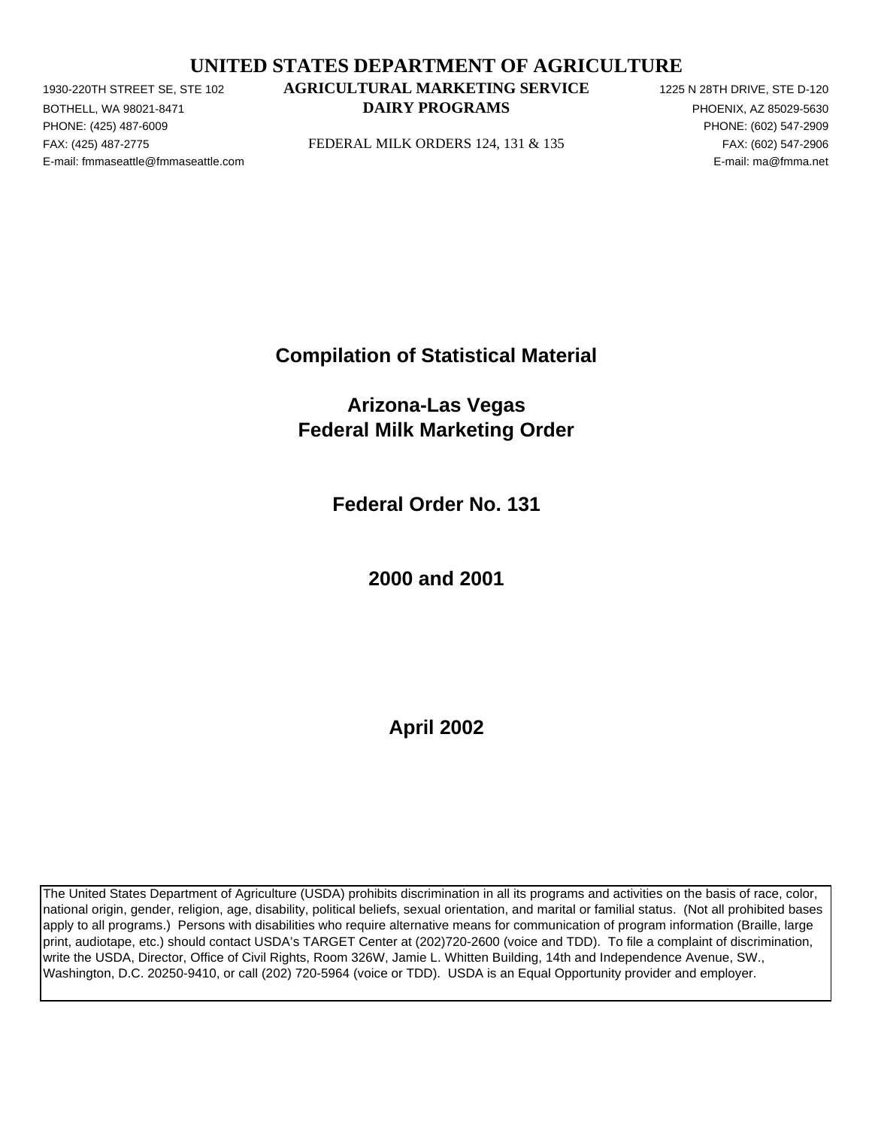# **UNITED STATES DEPARTMENT OF AGRICULTURE**

PHONE: (425) 487-6009 PHONE: (602) 547-2909 E-mail: fmmaseattle@fmmaseattle.com E-mail: ma@fmma.net

# 1930-220TH STREET SE, STE 102 **AGRICULTURAL MARKETING SERVICE** 1225 N 28TH DRIVE, STE D-120 BOTHELL, WA 98021-8471 **EXECUTE A SECOND METALLY PROGRAMS PHOENIX, AZ 85029-5630**

FAX: (425) 487-2775 FEDERAL MILK ORDERS 124, 131 & 135 FAX: (602) 547-2906

**Compilation of Statistical Material**

**Arizona-Las Vegas Federal Milk Marketing Order**

**Federal Order No. 131**

**2000 and 2001**

**April 2002**

The United States Department of Agriculture (USDA) prohibits discrimination in all its programs and activities on the basis of race, color, national origin, gender, religion, age, disability, political beliefs, sexual orientation, and marital or familial status. (Not all prohibited bases apply to all programs.) Persons with disabilities who require alternative means for communication of program information (Braille, large print, audiotape, etc.) should contact USDA's TARGET Center at (202)720-2600 (voice and TDD). To file a complaint of discrimination, write the USDA, Director, Office of Civil Rights, Room 326W, Jamie L. Whitten Building, 14th and Independence Avenue, SW., Washington, D.C. 20250-9410, or call (202) 720-5964 (voice or TDD). USDA is an Equal Opportunity provider and employer.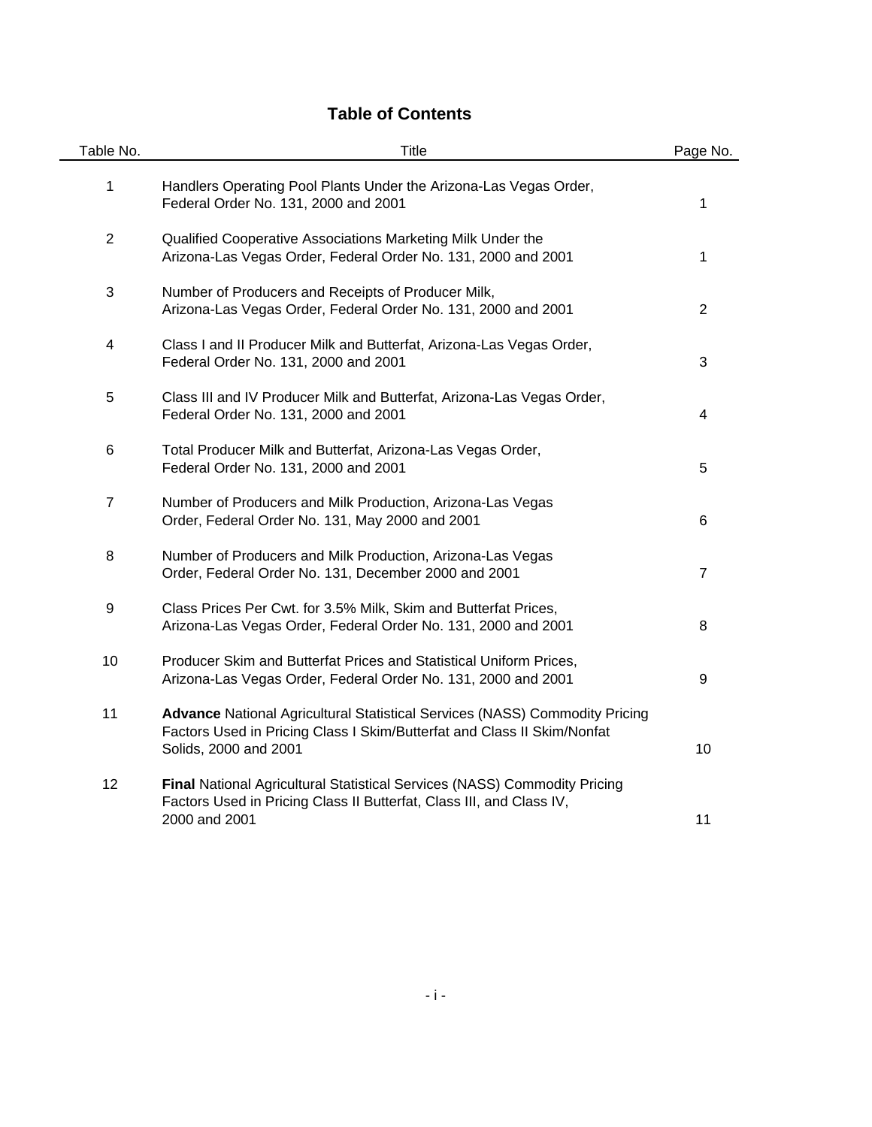# **Table of Contents**

 $\blacksquare$ 

| Table No.      | Title                                                                                                                                                                                  | Page No.       |
|----------------|----------------------------------------------------------------------------------------------------------------------------------------------------------------------------------------|----------------|
| 1              | Handlers Operating Pool Plants Under the Arizona-Las Vegas Order,<br>Federal Order No. 131, 2000 and 2001                                                                              | 1              |
| $\overline{2}$ | Qualified Cooperative Associations Marketing Milk Under the<br>Arizona-Las Vegas Order, Federal Order No. 131, 2000 and 2001                                                           | 1              |
| 3              | Number of Producers and Receipts of Producer Milk,<br>Arizona-Las Vegas Order, Federal Order No. 131, 2000 and 2001                                                                    | $\overline{2}$ |
| 4              | Class I and II Producer Milk and Butterfat, Arizona-Las Vegas Order,<br>Federal Order No. 131, 2000 and 2001                                                                           | 3              |
| 5              | Class III and IV Producer Milk and Butterfat, Arizona-Las Vegas Order,<br>Federal Order No. 131, 2000 and 2001                                                                         | 4              |
| 6              | Total Producer Milk and Butterfat, Arizona-Las Vegas Order,<br>Federal Order No. 131, 2000 and 2001                                                                                    | 5              |
| $\overline{7}$ | Number of Producers and Milk Production, Arizona-Las Vegas<br>Order, Federal Order No. 131, May 2000 and 2001                                                                          | 6              |
| 8              | Number of Producers and Milk Production, Arizona-Las Vegas<br>Order, Federal Order No. 131, December 2000 and 2001                                                                     | $\overline{7}$ |
| 9              | Class Prices Per Cwt. for 3.5% Milk, Skim and Butterfat Prices,<br>Arizona-Las Vegas Order, Federal Order No. 131, 2000 and 2001                                                       | 8              |
| 10             | Producer Skim and Butterfat Prices and Statistical Uniform Prices,<br>Arizona-Las Vegas Order, Federal Order No. 131, 2000 and 2001                                                    | 9              |
| 11             | <b>Advance National Agricultural Statistical Services (NASS) Commodity Pricing</b><br>Factors Used in Pricing Class I Skim/Butterfat and Class II Skim/Nonfat<br>Solids, 2000 and 2001 | 10             |
| 12             | Final National Agricultural Statistical Services (NASS) Commodity Pricing<br>Factors Used in Pricing Class II Butterfat, Class III, and Class IV,<br>2000 and 2001                     | 11             |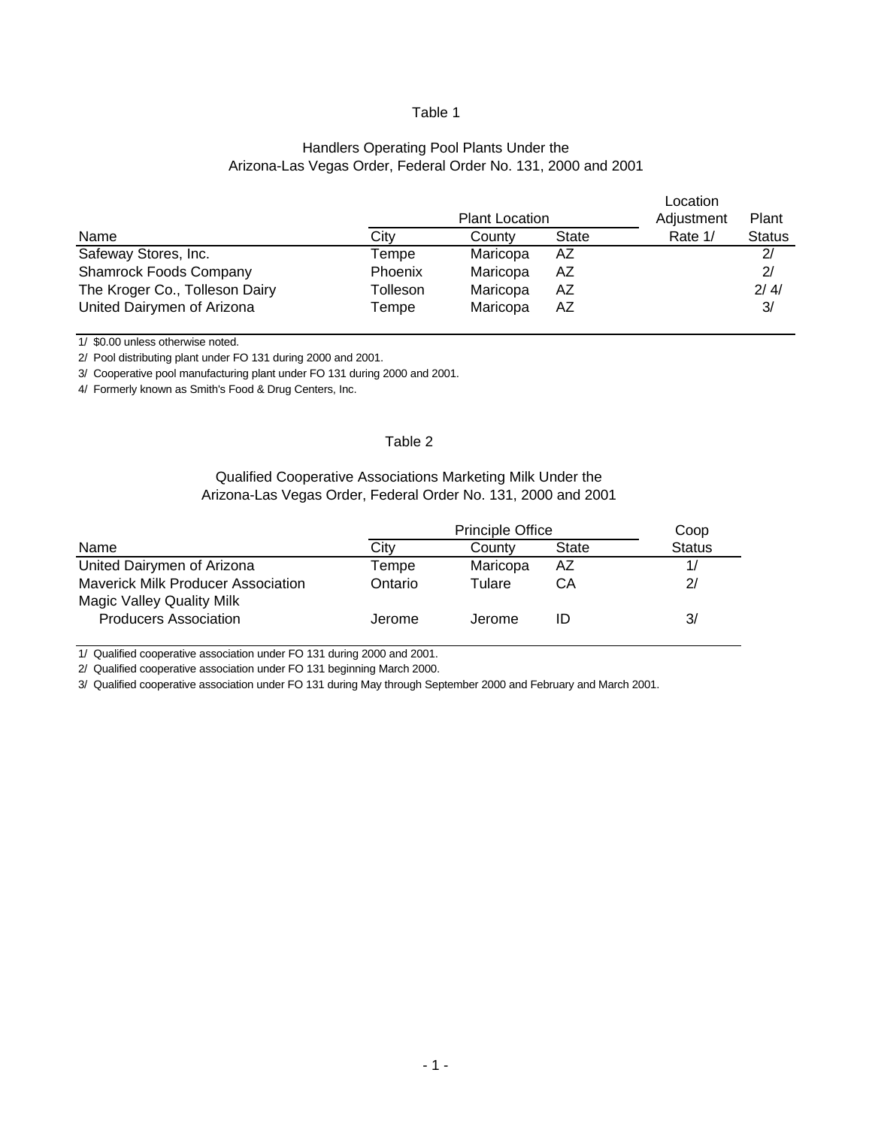#### Arizona-Las Vegas Order, Federal Order No. 131, 2000 and 2001 Handlers Operating Pool Plants Under the

|                                |          |            |              | Location |               |
|--------------------------------|----------|------------|--------------|----------|---------------|
|                                |          | Adjustment | Plant        |          |               |
| Name                           | City     | County     | <b>State</b> | Rate 1/  | <b>Status</b> |
| Safeway Stores, Inc.           | Tempe    | Maricopa   | AZ           |          | 2/            |
| <b>Shamrock Foods Company</b>  | Phoenix  | Maricopa   | AZ           |          | 2/            |
| The Kroger Co., Tolleson Dairy | Tolleson | Maricopa   | AZ           |          | 2/4/          |
| United Dairymen of Arizona     | Tempe    | Maricopa   | AZ           |          | 3/            |

1/ \$0.00 unless otherwise noted.

2/ Pool distributing plant under FO 131 during 2000 and 2001.

3/ Cooperative pool manufacturing plant under FO 131 during 2000 and 2001.

4/ Formerly known as Smith's Food & Drug Centers, Inc.

#### Table 2

#### Qualified Cooperative Associations Marketing Milk Under the Arizona-Las Vegas Order, Federal Order No. 131, 2000 and 2001

|                                                                               |         | Coop     |              |               |
|-------------------------------------------------------------------------------|---------|----------|--------------|---------------|
| Name                                                                          | Citv    | County   | <b>State</b> | <b>Status</b> |
| United Dairymen of Arizona                                                    | Tempe   | Maricopa | AZ           |               |
| <b>Maverick Milk Producer Association</b><br><b>Magic Valley Quality Milk</b> | Ontario | Tulare   | CА           | 2/            |
| <b>Producers Association</b>                                                  | Jerome  | Jerome   | ID           | 3/            |

1/ Qualified cooperative association under FO 131 during 2000 and 2001.

2/ Qualified cooperative association under FO 131 beginning March 2000.

3/ Qualified cooperative association under FO 131 during May through September 2000 and February and March 2001.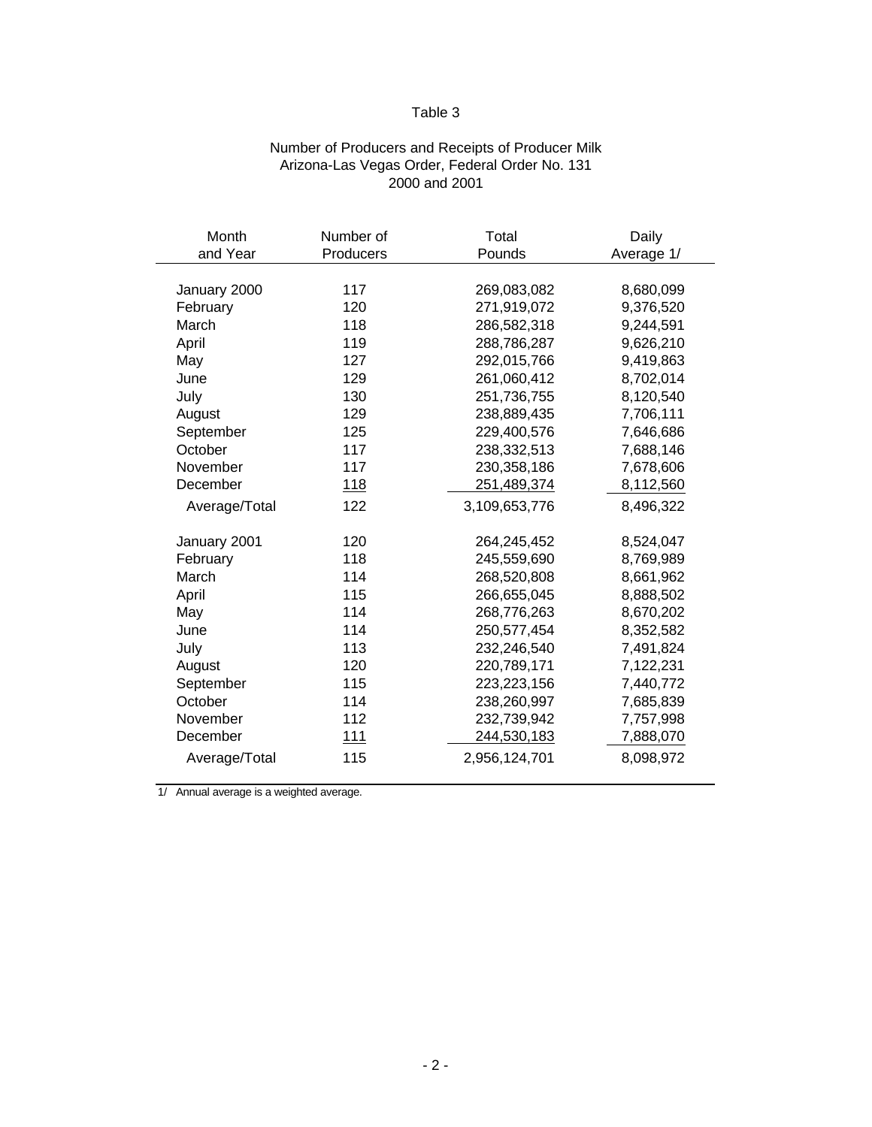# Number of Producers and Receipts of Producer Milk Arizona-Las Vegas Order, Federal Order No. 131 2000 and 2001

| Month         | Number of  | Total         | Daily      |
|---------------|------------|---------------|------------|
| and Year      | Producers  | Pounds        | Average 1/ |
|               |            |               |            |
| January 2000  | 117        | 269,083,082   | 8,680,099  |
| February      | 120        | 271,919,072   | 9,376,520  |
| March         | 118        | 286,582,318   | 9,244,591  |
| April         | 119        | 288,786,287   | 9,626,210  |
| May           | 127        | 292,015,766   | 9,419,863  |
| June          | 129        | 261,060,412   | 8,702,014  |
| July          | 130        | 251,736,755   | 8,120,540  |
| August        | 129        | 238,889,435   | 7,706,111  |
| September     | 125        | 229,400,576   | 7,646,686  |
| October       | 117        | 238,332,513   | 7,688,146  |
| November      | 117        | 230,358,186   | 7,678,606  |
| December      | <u>118</u> | 251,489,374   | 8,112,560  |
| Average/Total | 122        | 3,109,653,776 | 8,496,322  |
|               |            |               |            |
| January 2001  | 120        | 264,245,452   | 8,524,047  |
| February      | 118        | 245,559,690   | 8,769,989  |
| March         | 114        | 268,520,808   | 8,661,962  |
| April         | 115        | 266,655,045   | 8,888,502  |
| May           | 114        | 268,776,263   | 8,670,202  |
| June          | 114        | 250,577,454   | 8,352,582  |
| July          | 113        | 232,246,540   | 7,491,824  |
| August        | 120        | 220,789,171   | 7,122,231  |
| September     | 115        | 223, 223, 156 | 7,440,772  |
| October       | 114        | 238,260,997   | 7,685,839  |
| November      | 112        | 232,739,942   | 7,757,998  |
| December      | 111        | 244,530,183   | 7,888,070  |
| Average/Total | 115        | 2,956,124,701 | 8,098,972  |
|               |            |               |            |

1/ Annual average is a weighted average.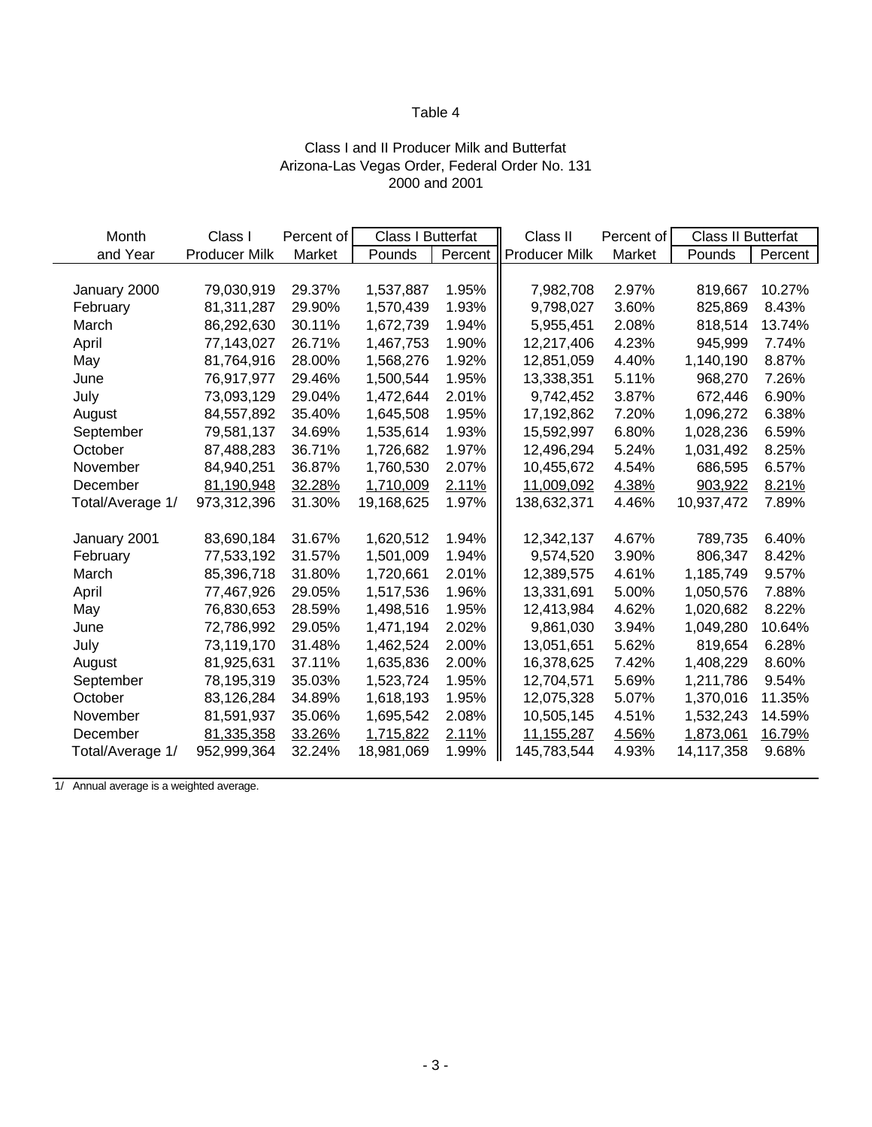# Class I and II Producer Milk and Butterfat Arizona-Las Vegas Order, Federal Order No. 131 2000 and 2001

| Month            | Class I              | Percent of | <b>Class I Butterfat</b> |         | Class II             | Percent of |            | <b>Class II Butterfat</b> |  |
|------------------|----------------------|------------|--------------------------|---------|----------------------|------------|------------|---------------------------|--|
| and Year         | <b>Producer Milk</b> | Market     | Pounds                   | Percent | <b>Producer Milk</b> | Market     | Pounds     | Percent                   |  |
|                  |                      |            |                          |         |                      |            |            |                           |  |
| January 2000     | 79,030,919           | 29.37%     | 1,537,887                | 1.95%   | 7,982,708            | 2.97%      | 819,667    | 10.27%                    |  |
| February         | 81,311,287           | 29.90%     | 1,570,439                | 1.93%   | 9,798,027            | 3.60%      | 825,869    | 8.43%                     |  |
| March            | 86,292,630           | 30.11%     | 1,672,739                | 1.94%   | 5,955,451            | 2.08%      | 818,514    | 13.74%                    |  |
| April            | 77,143,027           | 26.71%     | 1,467,753                | 1.90%   | 12,217,406           | 4.23%      | 945,999    | 7.74%                     |  |
| May              | 81,764,916           | 28.00%     | 1,568,276                | 1.92%   | 12,851,059           | 4.40%      | 1,140,190  | 8.87%                     |  |
| June             | 76,917,977           | 29.46%     | 1,500,544                | 1.95%   | 13,338,351           | 5.11%      | 968,270    | 7.26%                     |  |
| July             | 73,093,129           | 29.04%     | 1,472,644                | 2.01%   | 9,742,452            | 3.87%      | 672,446    | 6.90%                     |  |
| August           | 84,557,892           | 35.40%     | 1,645,508                | 1.95%   | 17,192,862           | 7.20%      | 1,096,272  | 6.38%                     |  |
| September        | 79,581,137           | 34.69%     | 1,535,614                | 1.93%   | 15,592,997           | 6.80%      | 1,028,236  | 6.59%                     |  |
| October          | 87,488,283           | 36.71%     | 1,726,682                | 1.97%   | 12,496,294           | 5.24%      | 1,031,492  | 8.25%                     |  |
| November         | 84,940,251           | 36.87%     | 1,760,530                | 2.07%   | 10,455,672           | 4.54%      | 686,595    | 6.57%                     |  |
| December         | 81,190,948           | 32.28%     | 1,710,009                | 2.11%   | 11,009,092           | 4.38%      | 903,922    | 8.21%                     |  |
| Total/Average 1/ | 973,312,396          | 31.30%     | 19,168,625               | 1.97%   | 138,632,371          | 4.46%      | 10,937,472 | 7.89%                     |  |
|                  |                      |            |                          |         |                      |            |            |                           |  |
| January 2001     | 83,690,184           | 31.67%     | 1,620,512                | 1.94%   | 12,342,137           | 4.67%      | 789,735    | 6.40%                     |  |
| February         | 77,533,192           | 31.57%     | 1,501,009                | 1.94%   | 9,574,520            | 3.90%      | 806,347    | 8.42%                     |  |
| March            | 85,396,718           | 31.80%     | 1,720,661                | 2.01%   | 12,389,575           | 4.61%      | 1,185,749  | 9.57%                     |  |
| April            | 77,467,926           | 29.05%     | 1,517,536                | 1.96%   | 13,331,691           | 5.00%      | 1,050,576  | 7.88%                     |  |
| May              | 76,830,653           | 28.59%     | 1,498,516                | 1.95%   | 12,413,984           | 4.62%      | 1,020,682  | 8.22%                     |  |
| June             | 72,786,992           | 29.05%     | 1,471,194                | 2.02%   | 9,861,030            | 3.94%      | 1,049,280  | 10.64%                    |  |
| July             | 73,119,170           | 31.48%     | 1,462,524                | 2.00%   | 13,051,651           | 5.62%      | 819,654    | 6.28%                     |  |
| August           | 81,925,631           | 37.11%     | 1,635,836                | 2.00%   | 16,378,625           | 7.42%      | 1,408,229  | 8.60%                     |  |
| September        | 78,195,319           | 35.03%     | 1,523,724                | 1.95%   | 12,704,571           | 5.69%      | 1,211,786  | 9.54%                     |  |
| October          | 83,126,284           | 34.89%     | 1,618,193                | 1.95%   | 12,075,328           | 5.07%      | 1,370,016  | 11.35%                    |  |
| November         | 81,591,937           | 35.06%     | 1,695,542                | 2.08%   | 10,505,145           | 4.51%      | 1,532,243  | 14.59%                    |  |
| December         | 81,335,358           | 33.26%     | 1,715,822                | 2.11%   | 11, 155, 287         | 4.56%      | 1,873,061  | 16.79%                    |  |
| Total/Average 1/ | 952,999,364          | 32.24%     | 18,981,069               | 1.99%   | 145,783,544          | 4.93%      | 14,117,358 | 9.68%                     |  |

1/ Annual average is a weighted average.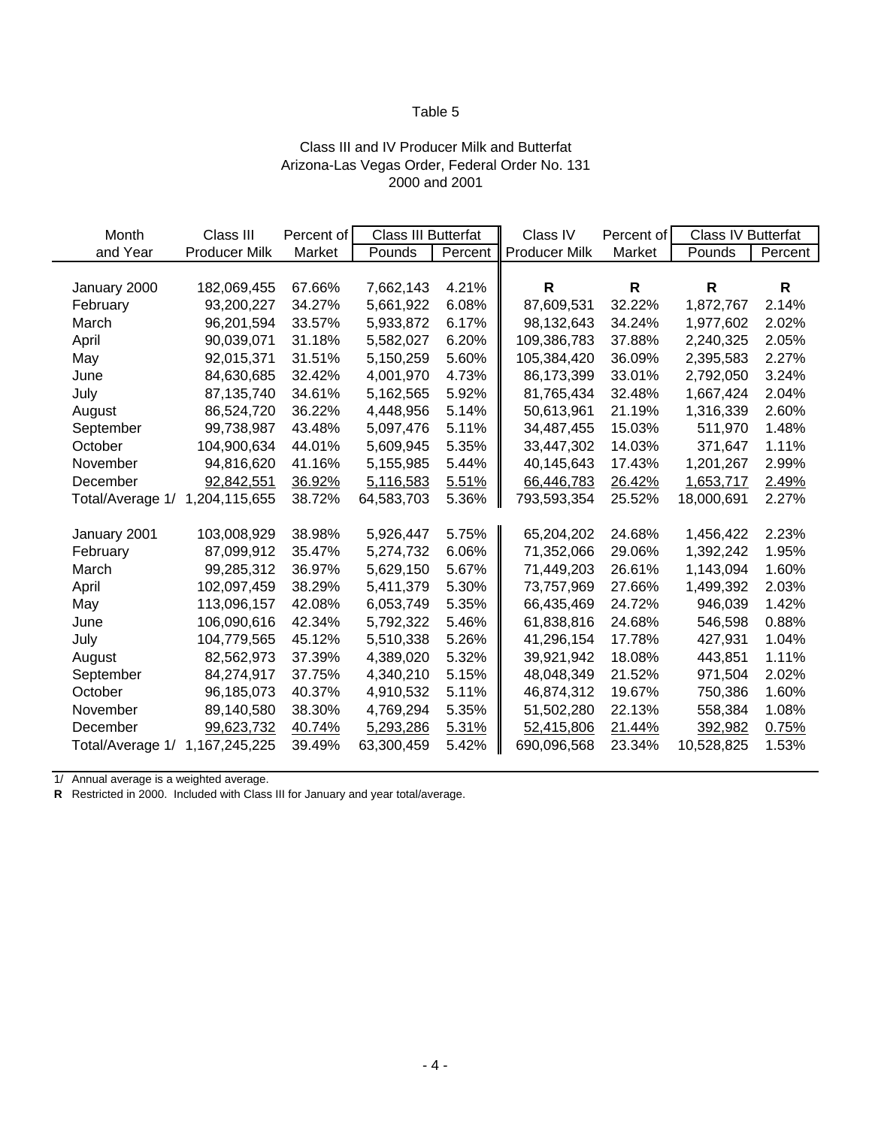#### Class III and IV Producer Milk and Butterfat Arizona-Las Vegas Order, Federal Order No. 131 2000 and 2001

| Month            | Class III            | Percent of | Class III Butterfat |         | Class IV             | Percent of | Class IV Butterfat |              |
|------------------|----------------------|------------|---------------------|---------|----------------------|------------|--------------------|--------------|
| and Year         | <b>Producer Milk</b> | Market     | Pounds              | Percent | <b>Producer Milk</b> | Market     | Pounds             | Percent      |
|                  |                      |            |                     |         |                      |            |                    |              |
| January 2000     | 182,069,455          | 67.66%     | 7,662,143           | 4.21%   | $\mathsf{R}$         | R          | R                  | $\mathsf{R}$ |
| February         | 93,200,227           | 34.27%     | 5,661,922           | 6.08%   | 87,609,531           | 32.22%     | 1,872,767          | 2.14%        |
| March            | 96,201,594           | 33.57%     | 5,933,872           | 6.17%   | 98,132,643           | 34.24%     | 1,977,602          | 2.02%        |
| April            | 90,039,071           | 31.18%     | 5,582,027           | 6.20%   | 109,386,783          | 37.88%     | 2,240,325          | 2.05%        |
| May              | 92,015,371           | 31.51%     | 5,150,259           | 5.60%   | 105,384,420          | 36.09%     | 2,395,583          | 2.27%        |
| June             | 84,630,685           | 32.42%     | 4,001,970           | 4.73%   | 86,173,399           | 33.01%     | 2,792,050          | 3.24%        |
| July             | 87,135,740           | 34.61%     | 5,162,565           | 5.92%   | 81,765,434           | 32.48%     | 1,667,424          | 2.04%        |
| August           | 86,524,720           | 36.22%     | 4,448,956           | 5.14%   | 50,613,961           | 21.19%     | 1,316,339          | 2.60%        |
| September        | 99,738,987           | 43.48%     | 5,097,476           | 5.11%   | 34,487,455           | 15.03%     | 511,970            | 1.48%        |
| October          | 104,900,634          | 44.01%     | 5,609,945           | 5.35%   | 33,447,302           | 14.03%     | 371,647            | 1.11%        |
| November         | 94,816,620           | 41.16%     | 5,155,985           | 5.44%   | 40,145,643           | 17.43%     | 1,201,267          | 2.99%        |
| December         | 92,842,551           | 36.92%     | 5,116,583           | 5.51%   | 66,446,783           | 26.42%     | 1,653,717          | 2.49%        |
| Total/Average 1/ | 1,204,115,655        | 38.72%     | 64,583,703          | 5.36%   | 793,593,354          | 25.52%     | 18,000,691         | 2.27%        |
|                  |                      |            |                     |         |                      |            |                    |              |
| January 2001     | 103,008,929          | 38.98%     | 5,926,447           | 5.75%   | 65,204,202           | 24.68%     | 1,456,422          | 2.23%        |
| February         | 87,099,912           | 35.47%     | 5,274,732           | 6.06%   | 71,352,066           | 29.06%     | 1,392,242          | 1.95%        |
| March            | 99,285,312           | 36.97%     | 5,629,150           | 5.67%   | 71,449,203           | 26.61%     | 1,143,094          | 1.60%        |
| April            | 102,097,459          | 38.29%     | 5,411,379           | 5.30%   | 73,757,969           | 27.66%     | 1,499,392          | 2.03%        |
| May              | 113,096,157          | 42.08%     | 6,053,749           | 5.35%   | 66,435,469           | 24.72%     | 946,039            | 1.42%        |
| June             | 106,090,616          | 42.34%     | 5,792,322           | 5.46%   | 61,838,816           | 24.68%     | 546,598            | 0.88%        |
| July             | 104,779,565          | 45.12%     | 5,510,338           | 5.26%   | 41,296,154           | 17.78%     | 427,931            | 1.04%        |
| August           | 82,562,973           | 37.39%     | 4,389,020           | 5.32%   | 39,921,942           | 18.08%     | 443,851            | 1.11%        |
| September        | 84,274,917           | 37.75%     | 4,340,210           | 5.15%   | 48,048,349           | 21.52%     | 971,504            | 2.02%        |
| October          | 96,185,073           | 40.37%     | 4,910,532           | 5.11%   | 46,874,312           | 19.67%     | 750,386            | 1.60%        |
| November         | 89,140,580           | 38.30%     | 4,769,294           | 5.35%   | 51,502,280           | 22.13%     | 558,384            | 1.08%        |
| December         | 99,623,732           | 40.74%     | 5,293,286           | 5.31%   | 52,415,806           | 21.44%     | 392,982            | 0.75%        |
| Total/Average 1/ | 1,167,245,225        | 39.49%     | 63,300,459          | 5.42%   | 690,096,568          | 23.34%     | 10,528,825         | 1.53%        |

1/ Annual average is a weighted average.

**R** Restricted in 2000. Included with Class III for January and year total/average.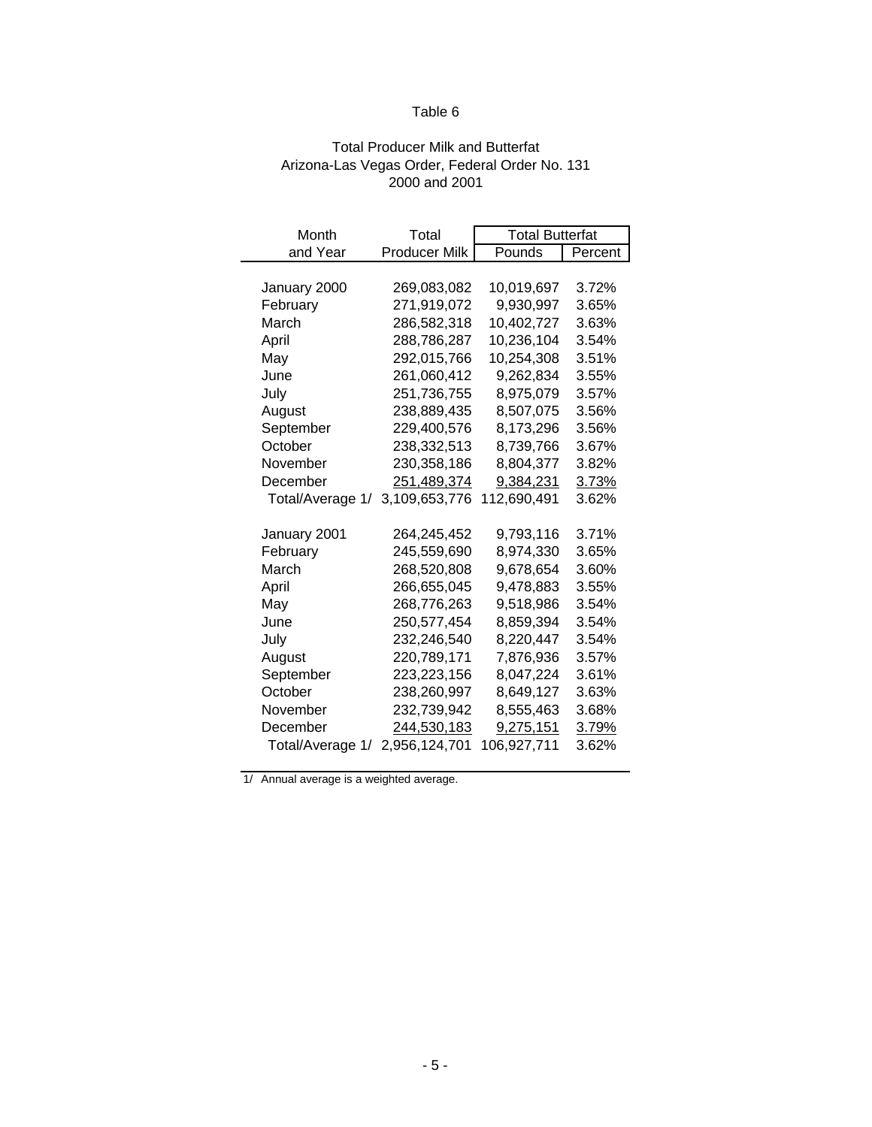#### Total Producer Milk and Butterfat Arizona-Las Vegas Order, Federal Order No. 131 2000 and 2001

| Month            | Total                | <b>Total Butterfat</b> |         |  |  |
|------------------|----------------------|------------------------|---------|--|--|
| and Year         | <b>Producer Milk</b> | Pounds                 | Percent |  |  |
|                  |                      |                        |         |  |  |
| January 2000     | 269,083,082          | 10,019,697             | 3.72%   |  |  |
| February         | 271,919,072          | 9,930,997              | 3.65%   |  |  |
| March            | 286,582,318          | 10,402,727             | 3.63%   |  |  |
| April            | 288,786,287          | 10,236,104             | 3.54%   |  |  |
| May              | 292,015,766          | 10,254,308             | 3.51%   |  |  |
| June             | 261,060,412          | 9,262,834              | 3.55%   |  |  |
| July             | 251,736,755          | 8,975,079              | 3.57%   |  |  |
| August           | 238,889,435          | 8,507,075              | 3.56%   |  |  |
| September        | 229,400,576          | 8,173,296              | 3.56%   |  |  |
| October          | 238,332,513          | 8,739,766              | 3.67%   |  |  |
| November         | 230,358,186          | 8,804,377              | 3.82%   |  |  |
| December         | 251,489,374          | 9,384,231              | 3.73%   |  |  |
| Total/Average 1/ | 3,109,653,776        | 112,690,491            | 3.62%   |  |  |
|                  |                      |                        |         |  |  |
| January 2001     | 264,245,452          | 9,793,116              | 3.71%   |  |  |
| February         | 245,559,690          | 8,974,330              | 3.65%   |  |  |
| March            | 268,520,808          | 9,678,654              | 3.60%   |  |  |
| April            | 266,655,045          | 9,478,883              | 3.55%   |  |  |
| May              | 268,776,263          | 9,518,986              | 3.54%   |  |  |
| June             | 250,577,454          | 8,859,394              | 3.54%   |  |  |
| July             | 232,246,540          | 8,220,447              | 3.54%   |  |  |
| August           | 220,789,171          | 7,876,936              | 3.57%   |  |  |
| September        | 223,223,156          | 8,047,224              | 3.61%   |  |  |
| October          | 238,260,997          | 8,649,127              | 3.63%   |  |  |
| November         | 232,739,942          | 8,555,463              | 3.68%   |  |  |
| December         | 244,530,183          | 9,275,151              | 3.79%   |  |  |
| Total/Average 1/ | 2,956,124,701        | 106,927,711            | 3.62%   |  |  |

1/ Annual average is a weighted average.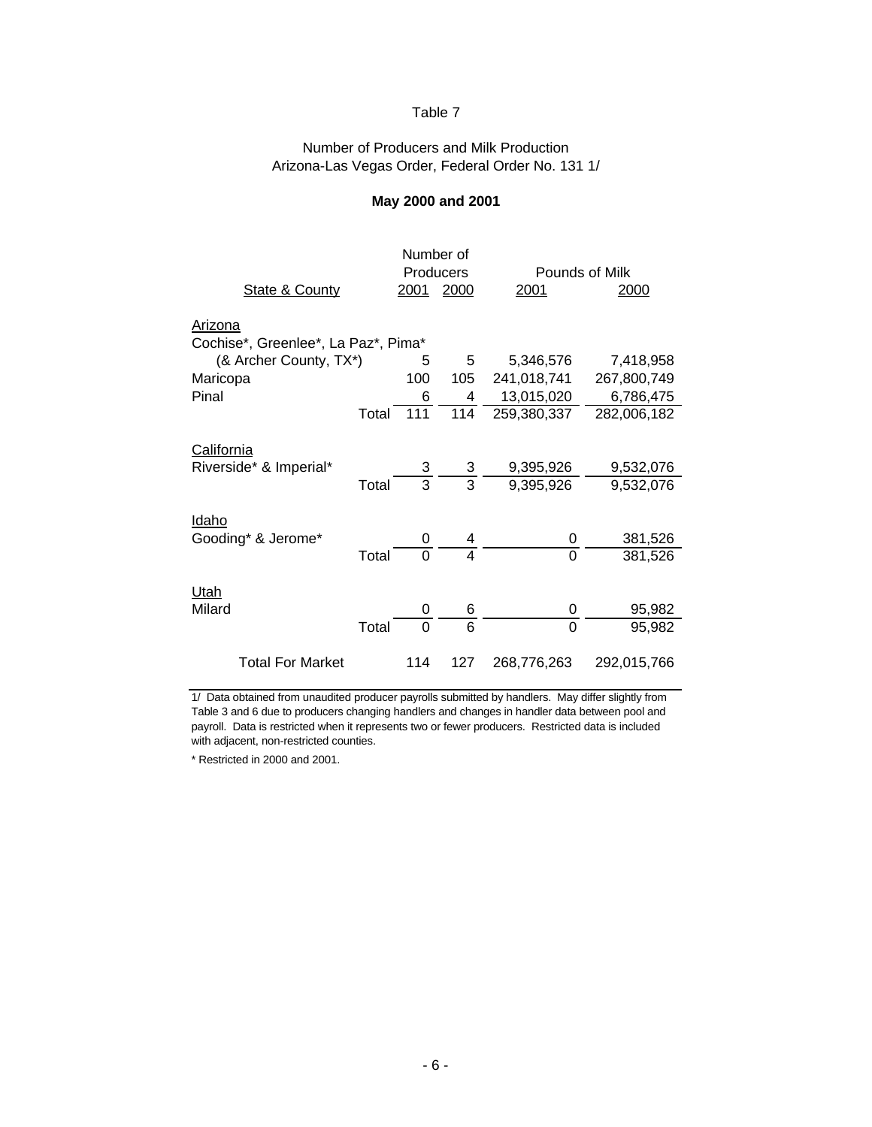#### Number of Producers and Milk Production Arizona-Las Vegas Order, Federal Order No. 131 1/

#### **May 2000 and 2001**

|                                     |       | Number of      |                         |                |             |  |  |
|-------------------------------------|-------|----------------|-------------------------|----------------|-------------|--|--|
|                                     |       |                | Producers               | Pounds of Milk |             |  |  |
| <b>State &amp; County</b>           |       | 2001           | 2000                    | 2001           | 2000        |  |  |
| <u>Arizona</u>                      |       |                |                         |                |             |  |  |
| Cochise*, Greenlee*, La Paz*, Pima* |       |                |                         |                |             |  |  |
| (& Archer County, TX*)              |       | 5              | 5                       | 5,346,576      | 7,418,958   |  |  |
| Maricopa                            |       | 100            | 105                     | 241,018,741    | 267,800,749 |  |  |
| Pinal                               |       | 6              | 4                       | 13,015,020     | 6,786,475   |  |  |
|                                     | Total | 111            | 114                     | 259,380,337    | 282,006,182 |  |  |
| California                          |       |                |                         |                |             |  |  |
| Riverside* & Imperial*              |       | 3 <sup>1</sup> | 3                       | 9,395,926      | 9,532,076   |  |  |
|                                     | Total | $\overline{3}$ | $\overline{3}$          | 9,395,926      | 9,532,076   |  |  |
| <u>Idaho</u><br>Gooding* & Jerome*  |       | 0              |                         | 0              | 381,526     |  |  |
|                                     | Total | $\overline{O}$ | $\overline{\mathbf{4}}$ | $\Omega$       | 381,526     |  |  |
| Utah<br>Milard                      |       | 0              | 6                       | 0              | 95,982      |  |  |
|                                     | Total | 0              | 6                       | $\Omega$       | 95,982      |  |  |
|                                     |       |                |                         |                |             |  |  |
| <b>Total For Market</b>             |       | 114            | 127                     | 268,776,263    | 292,015,766 |  |  |

1/ Data obtained from unaudited producer payrolls submitted by handlers. May differ slightly from Table 3 and 6 due to producers changing handlers and changes in handler data between pool and payroll. Data is restricted when it represents two or fewer producers. Restricted data is included with adjacent, non-restricted counties.

\* Restricted in 2000 and 2001.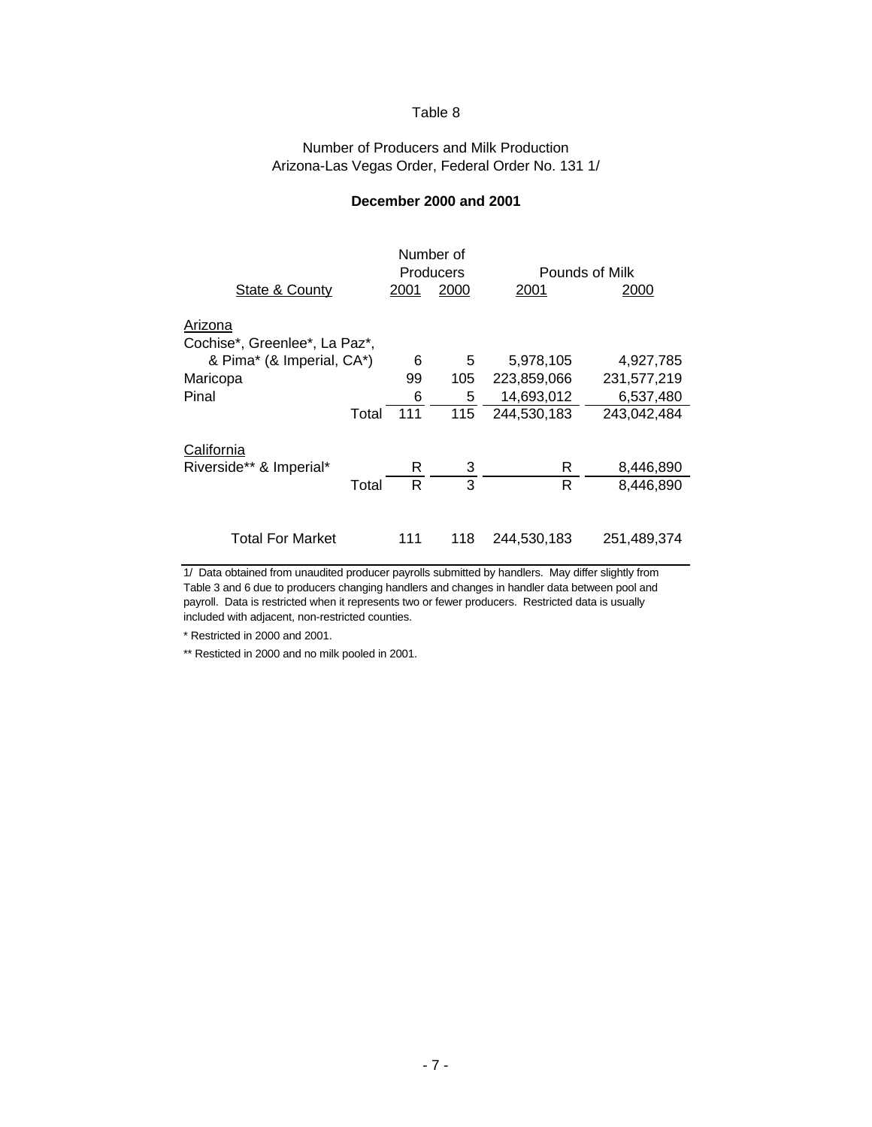#### Number of Producers and Milk Production Arizona-Las Vegas Order, Federal Order No. 131 1/

| State & County                           |       |     |     | 2001        | Pounds of Milk<br>2000 |  |  |
|------------------------------------------|-------|-----|-----|-------------|------------------------|--|--|
| Arizona<br>Cochise*, Greenlee*, La Paz*, |       |     |     |             |                        |  |  |
| & Pima* (& Imperial, CA*)                |       | 6   | 5   | 5,978,105   | 4,927,785              |  |  |
| Maricopa                                 |       | 99  | 105 | 223,859,066 | 231,577,219            |  |  |
| Pinal                                    |       | 6   | 5   | 14,693,012  | 6,537,480              |  |  |
|                                          | Total | 111 | 115 | 244,530,183 | 243,042,484            |  |  |
| California<br>Riverside** & Imperial*    |       | R   | 3   | R           | 8,446,890              |  |  |
|                                          | Total | R   | 3   | R           | 8,446,890              |  |  |
| <b>Total For Market</b>                  |       | 111 | 118 | 244,530,183 | 251,489,374            |  |  |

#### **December 2000 and 2001**

1/ Data obtained from unaudited producer payrolls submitted by handlers. May differ slightly from Table 3 and 6 due to producers changing handlers and changes in handler data between pool and payroll. Data is restricted when it represents two or fewer producers. Restricted data is usually included with adjacent, non-restricted counties.

\* Restricted in 2000 and 2001.

\*\* Resticted in 2000 and no milk pooled in 2001.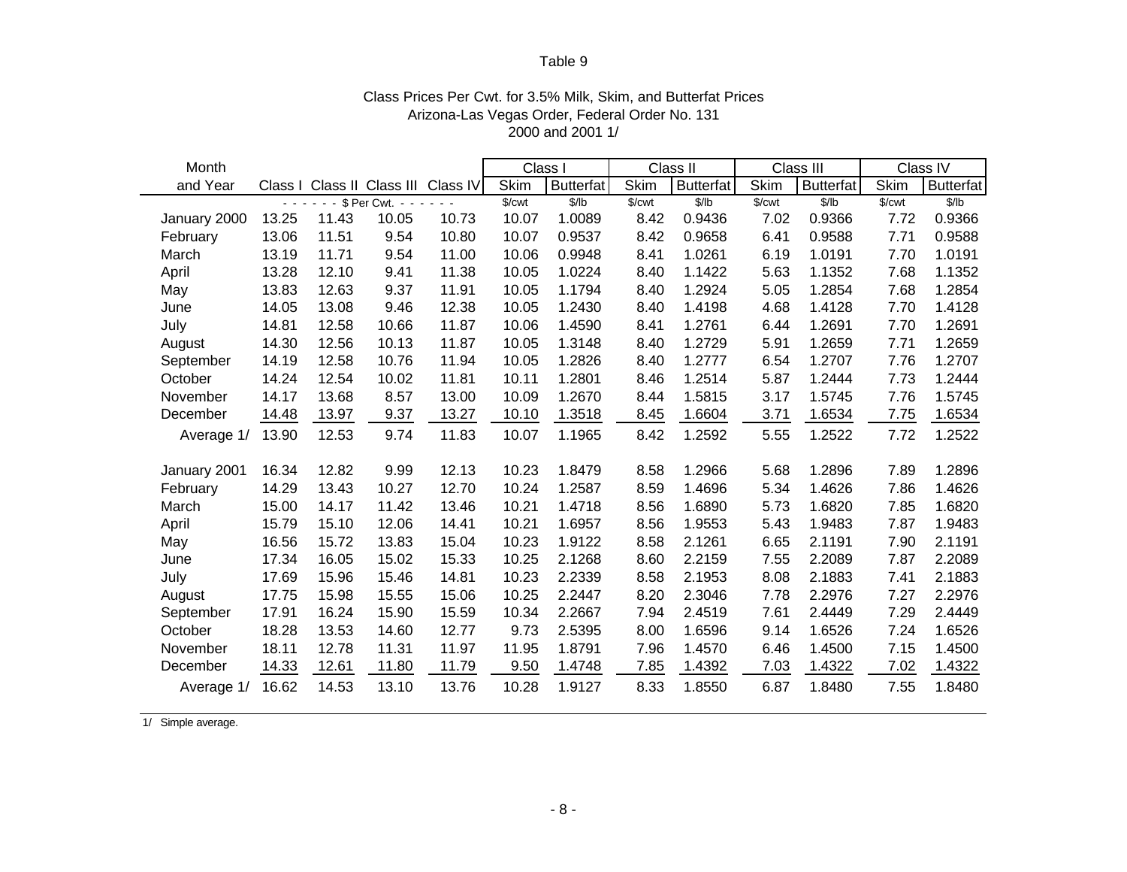| Month        |         |                |                                 |                             |             | Class I          |                        | Class II         |                        | Class III        |             | Class IV             |
|--------------|---------|----------------|---------------------------------|-----------------------------|-------------|------------------|------------------------|------------------|------------------------|------------------|-------------|----------------------|
| and Year     | Class I |                |                                 | Class II Class III Class IV | <b>Skim</b> | <b>Butterfat</b> | <b>Skim</b>            | <b>Butterfat</b> | <b>Skim</b>            | <b>Butterfat</b> | <b>Skim</b> | <b>Butterfat</b>     |
|              | - -     | $\blacksquare$ | \$ Per Cwt. -<br>$\blacksquare$ | $\sim$ $\sim$               | \$/cwt      | \$/lb            | $\sqrt{\frac{2}{\pi}}$ | \$/lb            | $\sqrt{\frac{2}{\pi}}$ | \$/lb            | \$/cwt      | $\sqrt{\frac{2}{b}}$ |
| January 2000 | 13.25   | 11.43          | 10.05                           | 10.73                       | 10.07       | 1.0089           | 8.42                   | 0.9436           | 7.02                   | 0.9366           | 7.72        | 0.9366               |
| February     | 13.06   | 11.51          | 9.54                            | 10.80                       | 10.07       | 0.9537           | 8.42                   | 0.9658           | 6.41                   | 0.9588           | 7.71        | 0.9588               |
| March        | 13.19   | 11.71          | 9.54                            | 11.00                       | 10.06       | 0.9948           | 8.41                   | 1.0261           | 6.19                   | 1.0191           | 7.70        | 1.0191               |
| April        | 13.28   | 12.10          | 9.41                            | 11.38                       | 10.05       | 1.0224           | 8.40                   | 1.1422           | 5.63                   | 1.1352           | 7.68        | 1.1352               |
| May          | 13.83   | 12.63          | 9.37                            | 11.91                       | 10.05       | 1.1794           | 8.40                   | 1.2924           | 5.05                   | 1.2854           | 7.68        | 1.2854               |
| June         | 14.05   | 13.08          | 9.46                            | 12.38                       | 10.05       | 1.2430           | 8.40                   | 1.4198           | 4.68                   | 1.4128           | 7.70        | 1.4128               |
| July         | 14.81   | 12.58          | 10.66                           | 11.87                       | 10.06       | 1.4590           | 8.41                   | 1.2761           | 6.44                   | 1.2691           | 7.70        | 1.2691               |
| August       | 14.30   | 12.56          | 10.13                           | 11.87                       | 10.05       | 1.3148           | 8.40                   | 1.2729           | 5.91                   | 1.2659           | 7.71        | 1.2659               |
| September    | 14.19   | 12.58          | 10.76                           | 11.94                       | 10.05       | 1.2826           | 8.40                   | 1.2777           | 6.54                   | 1.2707           | 7.76        | 1.2707               |
| October      | 14.24   | 12.54          | 10.02                           | 11.81                       | 10.11       | 1.2801           | 8.46                   | 1.2514           | 5.87                   | 1.2444           | 7.73        | 1.2444               |
| November     | 14.17   | 13.68          | 8.57                            | 13.00                       | 10.09       | 1.2670           | 8.44                   | 1.5815           | 3.17                   | 1.5745           | 7.76        | 1.5745               |
| December     | 14.48   | 13.97          | 9.37                            | 13.27                       | 10.10       | 1.3518           | 8.45                   | 1.6604           | 3.71                   | 1.6534           | 7.75        | 1.6534               |
| Average 1/   | 13.90   | 12.53          | 9.74                            | 11.83                       | 10.07       | 1.1965           | 8.42                   | 1.2592           | 5.55                   | 1.2522           | 7.72        | 1.2522               |
|              |         |                |                                 |                             |             |                  |                        |                  |                        |                  |             |                      |
| January 2001 | 16.34   | 12.82          | 9.99                            | 12.13                       | 10.23       | 1.8479           | 8.58                   | 1.2966           | 5.68                   | 1.2896           | 7.89        | 1.2896               |
| February     | 14.29   | 13.43          | 10.27                           | 12.70                       | 10.24       | 1.2587           | 8.59                   | 1.4696           | 5.34                   | 1.4626           | 7.86        | 1.4626               |
| March        | 15.00   | 14.17          | 11.42                           | 13.46                       | 10.21       | 1.4718           | 8.56                   | 1.6890           | 5.73                   | 1.6820           | 7.85        | 1.6820               |
| April        | 15.79   | 15.10          | 12.06                           | 14.41                       | 10.21       | 1.6957           | 8.56                   | 1.9553           | 5.43                   | 1.9483           | 7.87        | 1.9483               |
| May          | 16.56   | 15.72          | 13.83                           | 15.04                       | 10.23       | 1.9122           | 8.58                   | 2.1261           | 6.65                   | 2.1191           | 7.90        | 2.1191               |
| June         | 17.34   | 16.05          | 15.02                           | 15.33                       | 10.25       | 2.1268           | 8.60                   | 2.2159           | 7.55                   | 2.2089           | 7.87        | 2.2089               |
| July         | 17.69   | 15.96          | 15.46                           | 14.81                       | 10.23       | 2.2339           | 8.58                   | 2.1953           | 8.08                   | 2.1883           | 7.41        | 2.1883               |
| August       | 17.75   | 15.98          | 15.55                           | 15.06                       | 10.25       | 2.2447           | 8.20                   | 2.3046           | 7.78                   | 2.2976           | 7.27        | 2.2976               |
| September    | 17.91   | 16.24          | 15.90                           | 15.59                       | 10.34       | 2.2667           | 7.94                   | 2.4519           | 7.61                   | 2.4449           | 7.29        | 2.4449               |
| October      | 18.28   | 13.53          | 14.60                           | 12.77                       | 9.73        | 2.5395           | 8.00                   | 1.6596           | 9.14                   | 1.6526           | 7.24        | 1.6526               |
| November     | 18.11   | 12.78          | 11.31                           | 11.97                       | 11.95       | 1.8791           | 7.96                   | 1.4570           | 6.46                   | 1.4500           | 7.15        | 1.4500               |
| December     | 14.33   | 12.61          | 11.80                           | 11.79                       | 9.50        | 1.4748           | 7.85                   | 1.4392           | 7.03                   | 1.4322           | 7.02        | 1.4322               |
| Average 1/   | 16.62   | 14.53          | 13.10                           | 13.76                       | 10.28       | 1.9127           | 8.33                   | 1.8550           | 6.87                   | 1.8480           | 7.55        | 1.8480               |

#### Class Prices Per Cwt. for 3.5% Milk, Skim, and Butterfat Prices Arizona-Las Vegas Order, Federal Order No. 131 2000 and 2001 1/

1/ Simple average.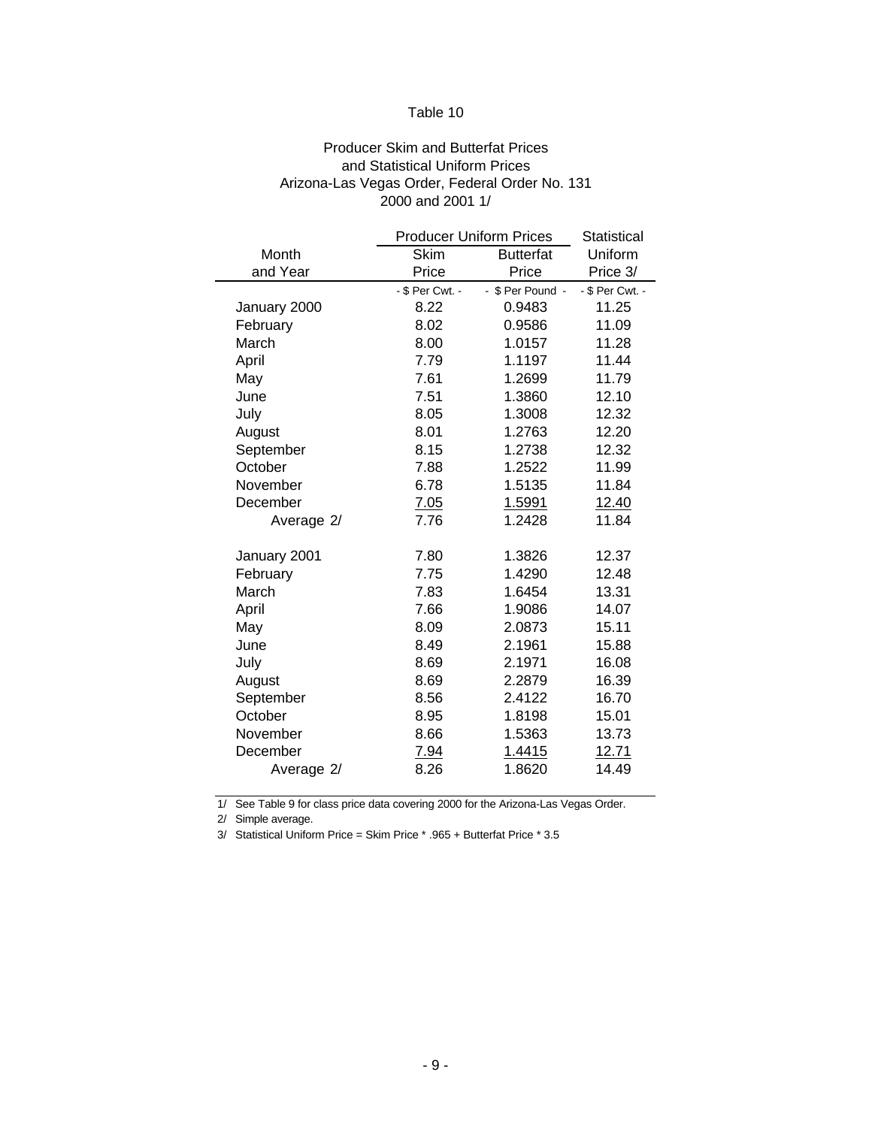#### Producer Skim and Butterfat Prices and Statistical Uniform Prices Arizona-Las Vegas Order, Federal Order No. 131 2000 and 2001 1/

|              |                 | <b>Producer Uniform Prices</b> | Statistical     |
|--------------|-----------------|--------------------------------|-----------------|
| Month        | Skim            | <b>Butterfat</b>               | Uniform         |
| and Year     | Price           | Price                          | Price 3/        |
|              | - \$ Per Cwt. - | - \$ Per Pound -               | - \$ Per Cwt. - |
| January 2000 | 8.22            | 0.9483                         | 11.25           |
| February     | 8.02            | 0.9586                         | 11.09           |
| March        | 8.00            | 1.0157                         | 11.28           |
| April        | 7.79            | 1.1197                         | 11.44           |
| May          | 7.61            | 1.2699                         | 11.79           |
| June         | 7.51            | 1.3860                         | 12.10           |
| July         | 8.05            | 1.3008                         | 12.32           |
| August       | 8.01            | 1.2763                         | 12.20           |
| September    | 8.15            | 1.2738                         | 12.32           |
| October      | 7.88            | 1.2522                         | 11.99           |
| November     | 6.78            | 1.5135                         | 11.84           |
| December     | 7.05            | 1.5991                         | 12.40           |
| Average 2/   | 7.76            | 1.2428                         | 11.84           |
|              |                 |                                |                 |
| January 2001 | 7.80            | 1.3826                         | 12.37           |
| February     | 7.75            | 1.4290                         | 12.48           |
| March        | 7.83            | 1.6454                         | 13.31           |
| April        | 7.66            | 1.9086                         | 14.07           |
| May          | 8.09            | 2.0873                         | 15.11           |
| June         | 8.49            | 2.1961                         | 15.88           |
| July         | 8.69            | 2.1971                         | 16.08           |
| August       | 8.69            | 2.2879                         | 16.39           |
| September    | 8.56            | 2.4122                         | 16.70           |
| October      | 8.95            | 1.8198                         | 15.01           |
| November     | 8.66            | 1.5363                         | 13.73           |
| December     | 7.94            | 1.4415                         | <u>12.71</u>    |
| Average 2/   | 8.26            | 1.8620                         | 14.49           |

1/ See Table 9 for class price data covering 2000 for the Arizona-Las Vegas Order.

2/ Simple average.

3/ Statistical Uniform Price = Skim Price \* .965 + Butterfat Price \* 3.5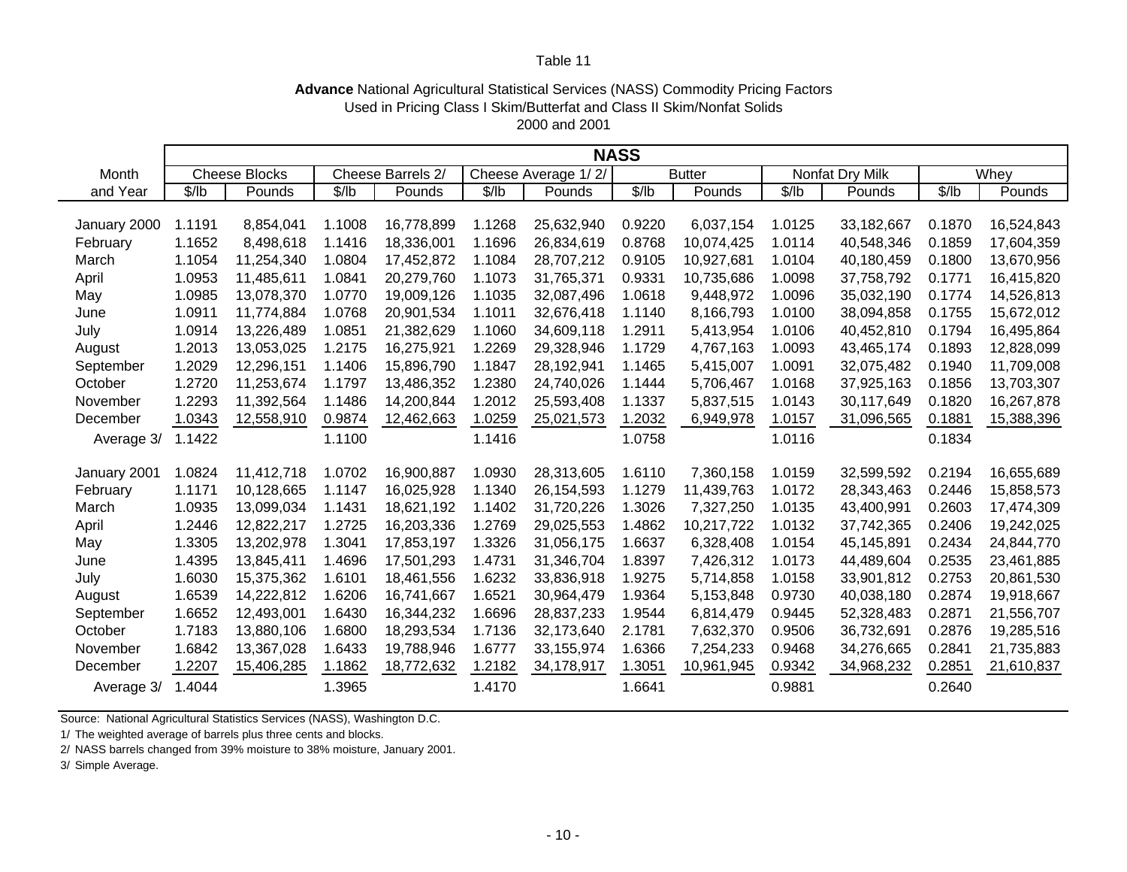#### **Advance** National Agricultural Statistical Services (NASS) Commodity Pricing Factors 2000 and 2001 Used in Pricing Class I Skim/Butterfat and Class II Skim/Nonfat Solids

|              | <b>NASS</b> |                      |        |                   |        |                     |        |               |        |                 |        |            |
|--------------|-------------|----------------------|--------|-------------------|--------|---------------------|--------|---------------|--------|-----------------|--------|------------|
| Month        |             | <b>Cheese Blocks</b> |        | Cheese Barrels 2/ |        | Cheese Average 1/2/ |        | <b>Butter</b> |        | Nonfat Dry Milk |        | Whey       |
| and Year     | \$/lb       | Pounds               | \$/lb  | Pounds            | \$/lb  | Pounds              | \$/lb  | Pounds        | \$/lb  | Pounds          | \$/lb  | Pounds     |
|              |             |                      |        |                   |        |                     |        |               |        |                 |        |            |
| January 2000 | 1.1191      | 8,854,041            | 1.1008 | 16,778,899        | 1.1268 | 25,632,940          | 0.9220 | 6,037,154     | 1.0125 | 33,182,667      | 0.1870 | 16,524,843 |
| February     | 1.1652      | 8,498,618            | 1.1416 | 18,336,001        | 1.1696 | 26,834,619          | 0.8768 | 10,074,425    | 1.0114 | 40,548,346      | 0.1859 | 17,604,359 |
| March        | 1.1054      | 11,254,340           | 1.0804 | 17,452,872        | 1.1084 | 28,707,212          | 0.9105 | 10,927,681    | 1.0104 | 40,180,459      | 0.1800 | 13,670,956 |
| April        | 1.0953      | 11,485,611           | 1.0841 | 20,279,760        | 1.1073 | 31,765,371          | 0.9331 | 10,735,686    | 1.0098 | 37,758,792      | 0.1771 | 16,415,820 |
| May          | 1.0985      | 13,078,370           | 1.0770 | 19,009,126        | 1.1035 | 32,087,496          | 1.0618 | 9,448,972     | 1.0096 | 35,032,190      | 0.1774 | 14,526,813 |
| June         | 1.0911      | 11,774,884           | 1.0768 | 20,901,534        | 1.1011 | 32,676,418          | 1.1140 | 8,166,793     | 1.0100 | 38,094,858      | 0.1755 | 15,672,012 |
| July         | 1.0914      | 13,226,489           | 1.0851 | 21,382,629        | 1.1060 | 34,609,118          | 1.2911 | 5,413,954     | 1.0106 | 40,452,810      | 0.1794 | 16,495,864 |
| August       | 1.2013      | 13,053,025           | 1.2175 | 16,275,921        | 1.2269 | 29,328,946          | 1.1729 | 4,767,163     | 1.0093 | 43,465,174      | 0.1893 | 12,828,099 |
| September    | 1.2029      | 12,296,151           | 1.1406 | 15,896,790        | 1.1847 | 28,192,941          | 1.1465 | 5,415,007     | 1.0091 | 32,075,482      | 0.1940 | 11,709,008 |
| October      | 1.2720      | 11,253,674           | 1.1797 | 13,486,352        | 1.2380 | 24,740,026          | 1.1444 | 5,706,467     | 1.0168 | 37,925,163      | 0.1856 | 13,703,307 |
| November     | 1.2293      | 11,392,564           | 1.1486 | 14,200,844        | 1.2012 | 25,593,408          | 1.1337 | 5,837,515     | 1.0143 | 30,117,649      | 0.1820 | 16,267,878 |
| December     | 1.0343      | 12,558,910           | 0.9874 | 12,462,663        | 1.0259 | 25,021,573          | 1.2032 | 6,949,978     | 1.0157 | 31,096,565      | 0.1881 | 15,388,396 |
| Average 3/   | 1.1422      |                      | 1.1100 |                   | 1.1416 |                     | 1.0758 |               | 1.0116 |                 | 0.1834 |            |
|              |             |                      |        |                   |        |                     |        |               |        |                 |        |            |
| January 2001 | 1.0824      | 11,412,718           | 1.0702 | 16,900,887        | 1.0930 | 28,313,605          | 1.6110 | 7,360,158     | 1.0159 | 32,599,592      | 0.2194 | 16,655,689 |
| February     | 1.1171      | 10,128,665           | 1.1147 | 16,025,928        | 1.1340 | 26,154,593          | 1.1279 | 11,439,763    | 1.0172 | 28,343,463      | 0.2446 | 15,858,573 |
| March        | 1.0935      | 13,099,034           | 1.1431 | 18,621,192        | 1.1402 | 31,720,226          | 1.3026 | 7,327,250     | 1.0135 | 43,400,991      | 0.2603 | 17,474,309 |
| April        | 1.2446      | 12,822,217           | 1.2725 | 16,203,336        | 1.2769 | 29,025,553          | 1.4862 | 10,217,722    | 1.0132 | 37,742,365      | 0.2406 | 19,242,025 |
| May          | 1.3305      | 13,202,978           | 1.3041 | 17,853,197        | 1.3326 | 31,056,175          | 1.6637 | 6,328,408     | 1.0154 | 45,145,891      | 0.2434 | 24,844,770 |
| June         | 1.4395      | 13,845,411           | 1.4696 | 17,501,293        | 1.4731 | 31,346,704          | 1.8397 | 7,426,312     | 1.0173 | 44,489,604      | 0.2535 | 23,461,885 |
| July         | 1.6030      | 15,375,362           | 1.6101 | 18,461,556        | 1.6232 | 33,836,918          | 1.9275 | 5,714,858     | 1.0158 | 33,901,812      | 0.2753 | 20,861,530 |
| August       | 1.6539      | 14,222,812           | 1.6206 | 16,741,667        | 1.6521 | 30,964,479          | 1.9364 | 5,153,848     | 0.9730 | 40,038,180      | 0.2874 | 19,918,667 |
| September    | 1.6652      | 12,493,001           | 1.6430 | 16,344,232        | 1.6696 | 28,837,233          | 1.9544 | 6,814,479     | 0.9445 | 52,328,483      | 0.2871 | 21,556,707 |
| October      | 1.7183      | 13,880,106           | 1.6800 | 18,293,534        | 1.7136 | 32,173,640          | 2.1781 | 7,632,370     | 0.9506 | 36,732,691      | 0.2876 | 19,285,516 |
| November     | 1.6842      | 13,367,028           | 1.6433 | 19,788,946        | 1.6777 | 33,155,974          | 1.6366 | 7,254,233     | 0.9468 | 34,276,665      | 0.2841 | 21,735,883 |
| December     | 1.2207      | 15,406,285           | 1.1862 | 18,772,632        | 1.2182 | 34,178,917          | 1.3051 | 10,961,945    | 0.9342 | 34,968,232      | 0.2851 | 21,610,837 |
| Average 3/   | 1.4044      |                      | 1.3965 |                   | 1.4170 |                     | 1.6641 |               | 0.9881 |                 | 0.2640 |            |

Source: National Agricultural Statistics Services (NASS), Washington D.C.

1/ The weighted average of barrels plus three cents and blocks.

2/ NASS barrels changed from 39% moisture to 38% moisture, January 2001.

3/ Simple Average.